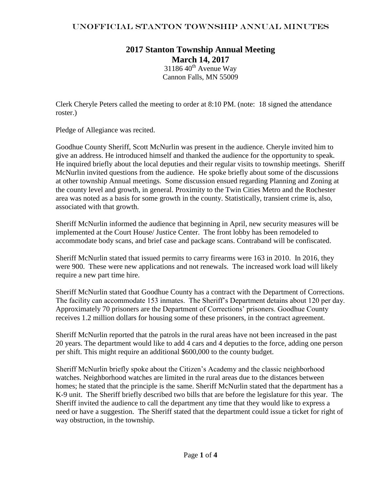## unOfficial Stanton Township Annual Minutes

## **2017 Stanton Township Annual Meeting March 14, 2017**

 $3118640^{\text{th}}$  Avenue Way Cannon Falls, MN 55009

Clerk Cheryle Peters called the meeting to order at 8:10 PM. (note: 18 signed the attendance roster.)

Pledge of Allegiance was recited.

Goodhue County Sheriff, Scott McNurlin was present in the audience. Cheryle invited him to give an address. He introduced himself and thanked the audience for the opportunity to speak. He inquired briefly about the local deputies and their regular visits to township meetings. Sheriff McNurlin invited questions from the audience. He spoke briefly about some of the discussions at other township Annual meetings. Some discussion ensued regarding Planning and Zoning at the county level and growth, in general. Proximity to the Twin Cities Metro and the Rochester area was noted as a basis for some growth in the county. Statistically, transient crime is, also, associated with that growth.

Sheriff McNurlin informed the audience that beginning in April, new security measures will be implemented at the Court House/ Justice Center. The front lobby has been remodeled to accommodate body scans, and brief case and package scans. Contraband will be confiscated.

Sheriff McNurlin stated that issued permits to carry firearms were 163 in 2010. In 2016, they were 900. These were new applications and not renewals. The increased work load will likely require a new part time hire.

Sheriff McNurlin stated that Goodhue County has a contract with the Department of Corrections. The facility can accommodate 153 inmates. The Sheriff's Department detains about 120 per day. Approximately 70 prisoners are the Department of Corrections' prisoners. Goodhue County receives 1.2 million dollars for housing some of these prisoners, in the contract agreement.

Sheriff McNurlin reported that the patrols in the rural areas have not been increased in the past 20 years. The department would like to add 4 cars and 4 deputies to the force, adding one person per shift. This might require an additional \$600,000 to the county budget.

Sheriff McNurlin briefly spoke about the Citizen's Academy and the classic neighborhood watches. Neighborhood watches are limited in the rural areas due to the distances between homes; he stated that the principle is the same. Sheriff McNurlin stated that the department has a K-9 unit. The Sheriff briefly described two bills that are before the legislature for this year. The Sheriff invited the audience to call the department any time that they would like to express a need or have a suggestion. The Sheriff stated that the department could issue a ticket for right of way obstruction, in the township.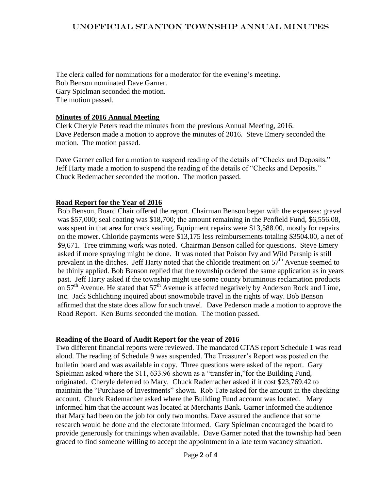## unOfficial Stanton Township Annual Minutes

The clerk called for nominations for a moderator for the evening's meeting. Bob Benson nominated Dave Garner. Gary Spielman seconded the motion. The motion passed.

#### **Minutes of 2016 Annual Meeting**

Clerk Cheryle Peters read the minutes from the previous Annual Meeting, 2016. Dave Pederson made a motion to approve the minutes of 2016. Steve Emery seconded the motion. The motion passed.

Dave Garner called for a motion to suspend reading of the details of "Checks and Deposits." Jeff Harty made a motion to suspend the reading of the details of "Checks and Deposits." Chuck Redemacher seconded the motion. The motion passed.

#### **Road Report for the Year of 2016**

Bob Benson, Board Chair offered the report. Chairman Benson began with the expenses: gravel was \$57,000; seal coating was \$18,700; the amount remaining in the Penfield Fund, \$6,556.08, was spent in that area for crack sealing. Equipment repairs were \$13,588.00, mostly for repairs on the mower. Chloride payments were \$13,175 less reimbursements totaling \$3504.00, a net of \$9,671. Tree trimming work was noted. Chairman Benson called for questions. Steve Emery asked if more spraying might be done. It was noted that Poison Ivy and Wild Parsnip is still prevalent in the ditches. Jeff Harty noted that the chloride treatment on  $57<sup>th</sup>$  Avenue seemed to be thinly applied. Bob Benson replied that the township ordered the same application as in years past. Jeff Harty asked if the township might use some county bituminous reclamation products on  $57<sup>th</sup>$  Avenue. He stated that  $57<sup>th</sup>$  Avenue is affected negatively by Anderson Rock and Lime, Inc. Jack Schlichting inquired about snowmobile travel in the rights of way. Bob Benson affirmed that the state does allow for such travel. Dave Pederson made a motion to approve the Road Report. Ken Burns seconded the motion. The motion passed.

#### **Reading of the Board of Audit Report for the year of 2016**

Two different financial reports were reviewed. The mandated CTAS report Schedule 1 was read aloud. The reading of Schedule 9 was suspended. The Treasurer's Report was posted on the bulletin board and was available in copy. Three questions were asked of the report. Gary Spielman asked where the \$11, 633.96 shown as a "transfer in,"for the Building Fund, originated. Cheryle deferred to Mary. Chuck Rademacher asked if it cost \$23,769.42 to maintain the "Purchase of Investments" shown. Rob Tate asked for the amount in the checking account. Chuck Rademacher asked where the Building Fund account was located. Mary informed him that the account was located at Merchants Bank. Garner informed the audience that Mary had been on the job for only two months. Dave assured the audience that some research would be done and the electorate informed. Gary Spielman encouraged the board to provide generously for trainings when available. Dave Garner noted that the township had been graced to find someone willing to accept the appointment in a late term vacancy situation.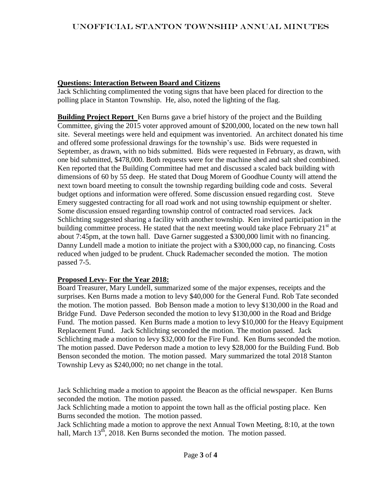## **Questions: Interaction Between Board and Citizens**

Jack Schlichting complimented the voting signs that have been placed for direction to the polling place in Stanton Township. He, also, noted the lighting of the flag.

**Building Project Report** Ken Burns gave a brief history of the project and the Building Committee, giving the 2015 voter approved amount of \$200,000, located on the new town hall site. Several meetings were held and equipment was inventoried. An architect donated his time and offered some professional drawings for the township's use. Bids were requested in September, as drawn, with no bids submitted. Bids were requested in February, as drawn, with one bid submitted, \$478,000. Both requests were for the machine shed and salt shed combined. Ken reported that the Building Committee had met and discussed a scaled back building with dimensions of 60 by 55 deep. He stated that Doug Morem of Goodhue County will attend the next town board meeting to consult the township regarding building code and costs. Several budget options and information were offered. Some discussion ensued regarding cost. Steve Emery suggested contracting for all road work and not using township equipment or shelter. Some discussion ensued regarding township control of contracted road services. Jack Schlichting suggested sharing a facility with another township. Ken invited participation in the building committee process. He stated that the next meeting would take place February  $21<sup>st</sup>$  at about 7:45pm, at the town hall. Dave Garner suggested a \$300,000 limit with no financing. Danny Lundell made a motion to initiate the project with a \$300,000 cap, no financing. Costs reduced when judged to be prudent. Chuck Rademacher seconded the motion. The motion passed 7-5.

#### **Proposed Levy- For the Year 2018:**

Board Treasurer, Mary Lundell, summarized some of the major expenses, receipts and the surprises. Ken Burns made a motion to levy \$40,000 for the General Fund. Rob Tate seconded the motion. The motion passed. Bob Benson made a motion to levy \$130,000 in the Road and Bridge Fund. Dave Pederson seconded the motion to levy \$130,000 in the Road and Bridge Fund. The motion passed. Ken Burns made a motion to levy \$10,000 for the Heavy Equipment Replacement Fund. Jack Schlichting seconded the motion. The motion passed. Jack Schlichting made a motion to levy \$32,000 for the Fire Fund. Ken Burns seconded the motion. The motion passed. Dave Pederson made a motion to levy \$28,000 for the Building Fund. Bob Benson seconded the motion. The motion passed. Mary summarized the total 2018 Stanton Township Levy as \$240,000; no net change in the total.

Jack Schlichting made a motion to appoint the Beacon as the official newspaper. Ken Burns seconded the motion. The motion passed.

Jack Schlichting made a motion to appoint the town hall as the official posting place. Ken Burns seconded the motion. The motion passed.

Jack Schlichting made a motion to approve the next Annual Town Meeting, 8:10, at the town hall, March 13<sup>th</sup>, 2018. Ken Burns seconded the motion. The motion passed.